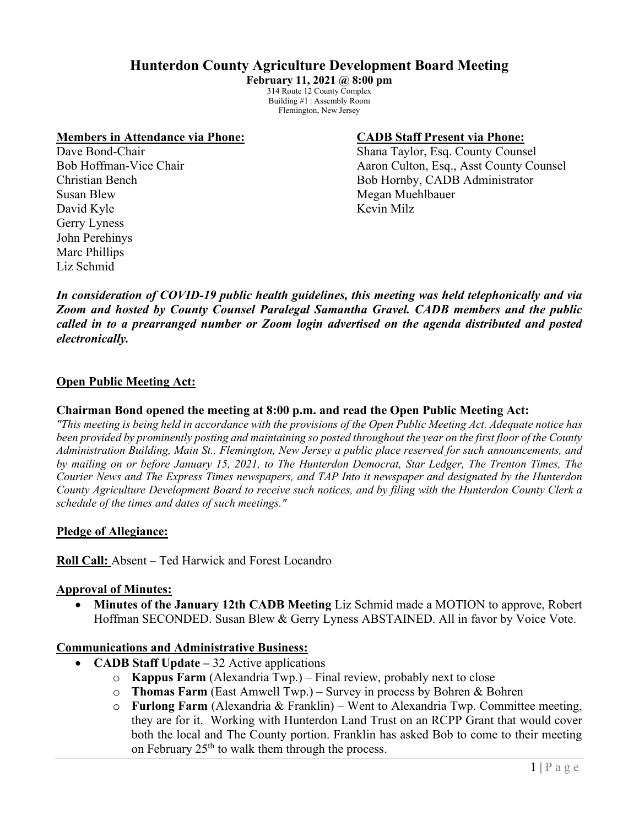# **Hunterdon County Agriculture Development Board Meeting**

**February 11, 2021 @ 8:00 pm** 314 Route 12 County Complex Building #1 | Assembly Room Flemington, New Jersey

#### **Members in Attendance via Phone: CADB Staff Present via Phone:**

Susan Blew Megan Muehlbauer David Kyle Kevin Milz Gerry Lyness John Perehinys Marc Phillips Liz Schmid

Dave Bond-Chair **Shana Taylor, Esq. County Counsel** Bob Hoffman-Vice Chair Aaron Culton, Esq., Asst County Counsel Christian Bench Bob Hornby, CADB Administrator

*In consideration of COVID-19 public health guidelines, this meeting was held telephonically and via Zoom and hosted by County Counsel Paralegal Samantha Gravel. CADB members and the public called in to a prearranged number or Zoom login advertised on the agenda distributed and posted electronically.*

## **Open Public Meeting Act:**

#### **Chairman Bond opened the meeting at 8:00 p.m. and read the Open Public Meeting Act:**

*"This meeting is being held in accordance with the provisions of the Open Public Meeting Act. Adequate notice has been provided by prominently posting and maintaining so posted throughout the year on the first floor of the County Administration Building, Main St., Flemington, New Jersey a public place reserved for such announcements, and by mailing on or before January 15, 2021, to The Hunterdon Democrat, Star Ledger, The Trenton Times, The Courier News and The Express Times newspapers, and TAP Into it newspaper and designated by the Hunterdon County Agriculture Development Board to receive such notices, and by filing with the Hunterdon County Clerk a schedule of the times and dates of such meetings."*

### **Pledge of Allegiance:**

**Roll Call:** Absent – Ted Harwick and Forest Locandro

#### **Approval of Minutes:**

• **Minutes of the January 12th CADB Meeting** Liz Schmid made a MOTION to approve, Robert Hoffman SECONDED. Susan Blew & Gerry Lyness ABSTAINED. All in favor by Voice Vote.

### **Communications and Administrative Business:**

- **CADB Staff Update –** 32 Active applications
	- o **Kappus Farm** (Alexandria Twp.) Final review, probably next to close
	- o **Thomas Farm** (East Amwell Twp.) Survey in process by Bohren & Bohren
	- o **Furlong Farm** (Alexandria & Franklin) Went to Alexandria Twp. Committee meeting, they are for it. Working with Hunterdon Land Trust on an RCPP Grant that would cover both the local and The County portion. Franklin has asked Bob to come to their meeting on February  $25<sup>th</sup>$  to walk them through the process.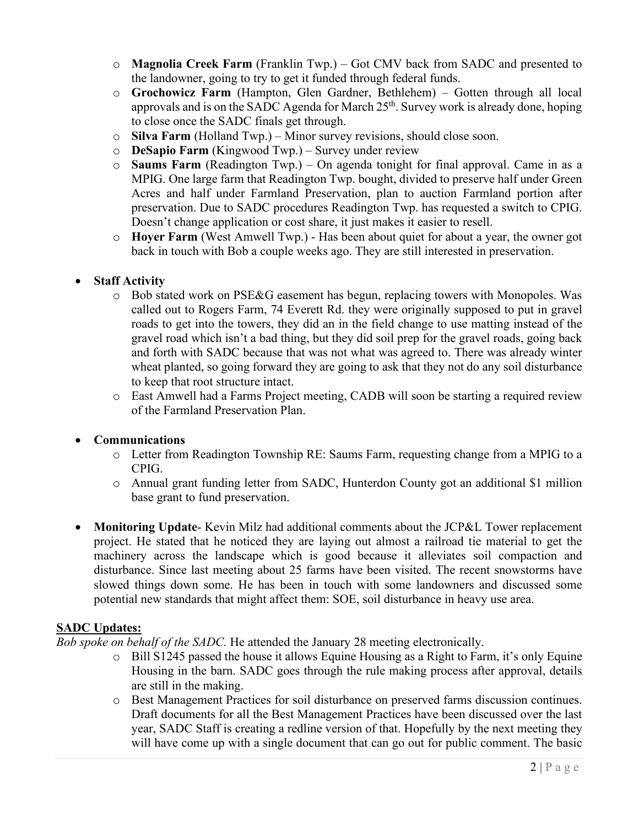- o **Magnolia Creek Farm** (Franklin Twp.) Got CMV back from SADC and presented to the landowner, going to try to get it funded through federal funds.
- o **Grochowicz Farm** (Hampton, Glen Gardner, Bethlehem) Gotten through all local approvals and is on the SADC Agenda for March  $25<sup>th</sup>$ . Survey work is already done, hoping to close once the SADC finals get through.
- o **Silva Farm** (Holland Twp.) Minor survey revisions, should close soon.
- o **DeSapio Farm** (Kingwood Twp.) Survey under review
- o **Saums Farm** (Readington Twp.) On agenda tonight for final approval. Came in as a MPIG. One large farm that Readington Twp. bought, divided to preserve half under Green Acres and half under Farmland Preservation, plan to auction Farmland portion after preservation. Due to SADC procedures Readington Twp. has requested a switch to CPIG. Doesn't change application or cost share, it just makes it easier to resell.
- o **Hoyer Farm** (West Amwell Twp.) Has been about quiet for about a year, the owner got back in touch with Bob a couple weeks ago. They are still interested in preservation.

## • **Staff Activity**

- o Bob stated work on PSE&G easement has begun, replacing towers with Monopoles. Was called out to Rogers Farm, 74 Everett Rd. they were originally supposed to put in gravel roads to get into the towers, they did an in the field change to use matting instead of the gravel road which isn't a bad thing, but they did soil prep for the gravel roads, going back and forth with SADC because that was not what was agreed to. There was already winter wheat planted, so going forward they are going to ask that they not do any soil disturbance to keep that root structure intact.
- o East Amwell had a Farms Project meeting, CADB will soon be starting a required review of the Farmland Preservation Plan.

## • **Communications**

- o Letter from Readington Township RE: Saums Farm, requesting change from a MPIG to a CPIG.
- o Annual grant funding letter from SADC, Hunterdon County got an additional \$1 million base grant to fund preservation.
- **Monitoring Update** Kevin Milz had additional comments about the JCP&L Tower replacement project. He stated that he noticed they are laying out almost a railroad tie material to get the machinery across the landscape which is good because it alleviates soil compaction and disturbance. Since last meeting about 25 farms have been visited. The recent snowstorms have slowed things down some. He has been in touch with some landowners and discussed some potential new standards that might affect them: SOE, soil disturbance in heavy use area.

## **SADC Updates:**

*Bob spoke on behalf of the SADC.* He attended the January 28 meeting electronically.

- o Bill S1245 passed the house it allows Equine Housing as a Right to Farm, it's only Equine Housing in the barn. SADC goes through the rule making process after approval, details are still in the making.
- o Best Management Practices for soil disturbance on preserved farms discussion continues. Draft documents for all the Best Management Practices have been discussed over the last year, SADC Staff is creating a redline version of that. Hopefully by the next meeting they will have come up with a single document that can go out for public comment. The basic